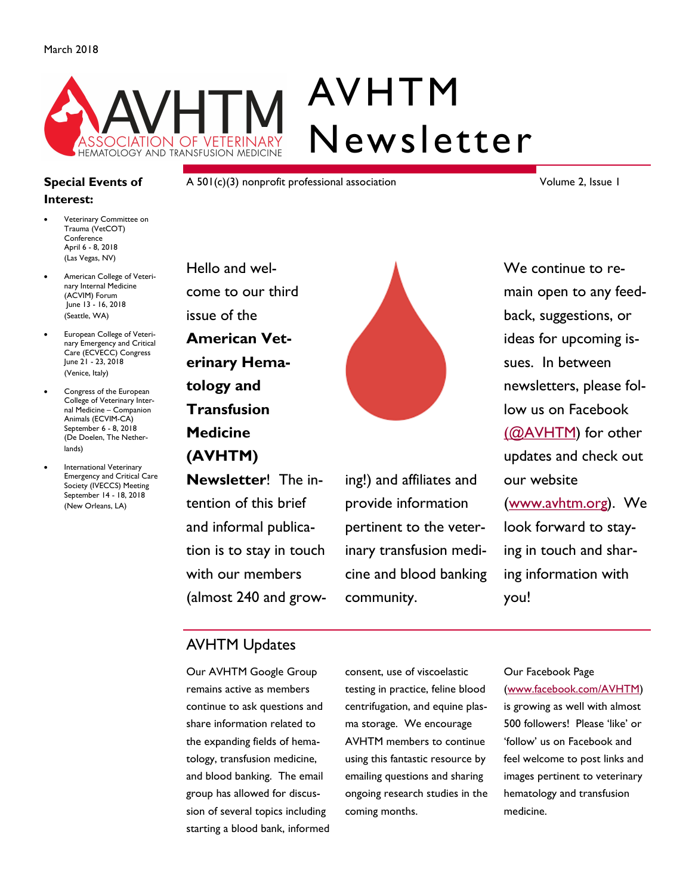

#### **Special Events of Interest:**

- Veterinary Committee on Trauma (VetCOT) Conference April 6 - 8, 2018 (Las Vegas, NV)
- American College of Veterinary Internal Medicine (ACVIM) Forum June 13 - 16, 2018 (Seattle, WA)
- European College of Veterinary Emergency and Critical Care (ECVECC) Congress June 21 - 23, 2018 (Venice, Italy)
- Congress of the European College of Veterinary Internal Medicine – Companion Animals (ECVIM-CA) September 6 - 8, 2018 (De Doelen, The Netherlands)
- International Veterinary Emergency and Critical Care Society (IVECCS) Meeting September 14 - 18, 2018 (New Orleans, LA)

A 501(c)(3) nonprofit professional association

Volume 2, Issue 1

Hello and welcome to our third issue of the **American Veterinary Hematology and Transfusion Medicine (AVHTM)** 

**Newsletter**! The intention of this brief and informal publication is to stay in touch with our members (almost 240 and grow-



ing!) and affiliates and provide information pertinent to the veterinary transfusion medicine and blood banking community.

We continue to remain open to any feedback, suggestions, or ideas for upcoming issues. In between newsletters, please follow us on Facebook [\(@AVHTM\)](http://www.facebook.com/AVHTM) for other updates and check out our website [\(www.avhtm.org\).](http://www.avhtm.org/) We look forward to staying in touch and sharing information with you!

### AVHTM Updates

Our AVHTM Google Group remains active as members continue to ask questions and share information related to the expanding fields of hematology, transfusion medicine, and blood banking. The email group has allowed for discussion of several topics including starting a blood bank, informed consent, use of viscoelastic testing in practice, feline blood centrifugation, and equine plasma storage. We encourage AVHTM members to continue using this fantastic resource by emailing questions and sharing ongoing research studies in the coming months.

Our Facebook Page [\(www.facebook.com/AVHTM\)](http://www.facebook.com/AVHTM) 

is growing as well with almost 500 followers! Please 'like' or 'follow' us on Facebook and feel welcome to post links and images pertinent to veterinary hematology and transfusion medicine.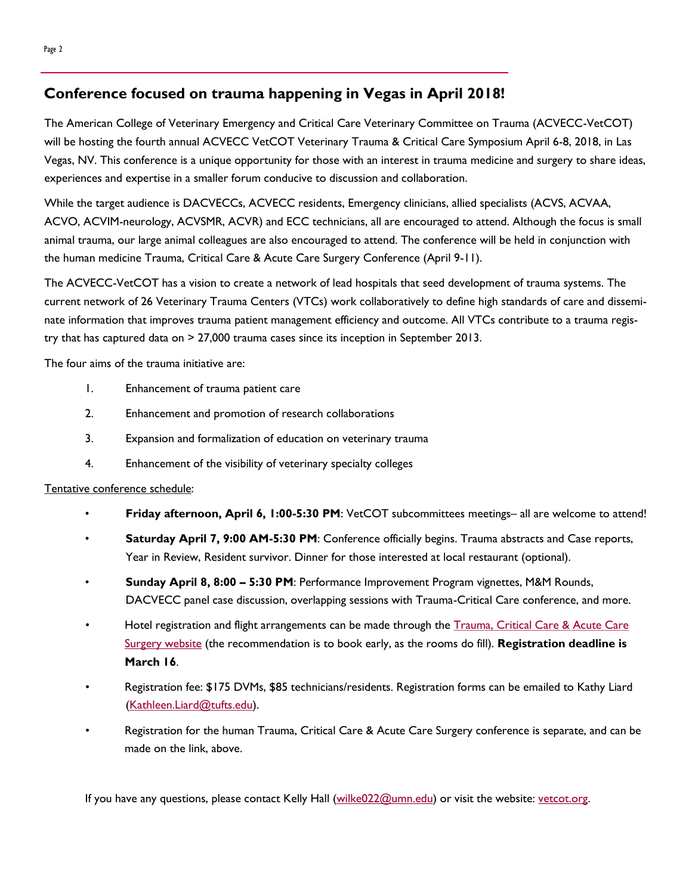### **Conference focused on trauma happening in Vegas in April 2018!**

The American College of Veterinary Emergency and Critical Care Veterinary Committee on Trauma (ACVECC-VetCOT) will be hosting the fourth annual ACVECC VetCOT Veterinary Trauma & Critical Care Symposium April 6-8, 2018, in Las Vegas, NV. This conference is a unique opportunity for those with an interest in trauma medicine and surgery to share ideas, experiences and expertise in a smaller forum conducive to discussion and collaboration.

While the target audience is DACVECCs, ACVECC residents, Emergency clinicians, allied specialists (ACVS, ACVAA, ACVO, ACVIM-neurology, ACVSMR, ACVR) and ECC technicians, all are encouraged to attend. Although the focus is small animal trauma, our large animal colleagues are also encouraged to attend. The conference will be held in conjunction with the human medicine Trauma, Critical Care & Acute Care Surgery Conference (April 9-11).

The ACVECC-VetCOT has a vision to create a network of lead hospitals that seed development of trauma systems. The current network of 26 Veterinary Trauma Centers (VTCs) work collaboratively to define high standards of care and disseminate information that improves trauma patient management efficiency and outcome. All VTCs contribute to a trauma registry that has captured data on > 27,000 trauma cases since its inception in September 2013.

The four aims of the trauma initiative are:

- 1. Enhancement of trauma patient care
- 2. Enhancement and promotion of research collaborations
- 3. Expansion and formalization of education on veterinary trauma
- 4. Enhancement of the visibility of veterinary specialty colleges

#### Tentative conference schedule:

- **Friday afternoon, April 6, 1:00-5:30 PM**: VetCOT subcommittees meetings– all are welcome to attend!
- **Saturday April 7, 9:00 AM-5:30 PM**: Conference officially begins. Trauma abstracts and Case reports, Year in Review, Resident survivor. Dinner for those interested at local restaurant (optional).
- **Sunday April 8, 8:00 – 5:30 PM**: Performance Improvement Program vignettes, M&M Rounds, DACVECC panel case discussion, overlapping sessions with Trauma-Critical Care conference, and more.
- Hotel registration and flight arrangements can be made through the Trauma, Critical Care & Acute Care [Surgery website](http://www.trauma-criticalcare.com/?id=3) (the recommendation is to book early, as the rooms do fill). **Registration deadline is March 16**.
- Registration fee: \$175 DVMs, \$85 technicians/residents. Registration forms can be emailed to Kathy Liard ([Kathleen.Liard@tufts.edu\)](mailto:Kathleen.Liard@tufts.edu?subject=Inquiry%20from%20AVHTM%20Newsletter).
- Registration for the human Trauma, Critical Care & Acute Care Surgery conference is separate, and can be made on the link, above.

If you have any questions, please contact Kelly Hall ([wilke022@umn.edu\)](mailto:wilke022@umn.edu?subject=Inquiry%20from%20AVHTM%20website) or visit the website: [vetcot.org.](http://www.vetcot.org/)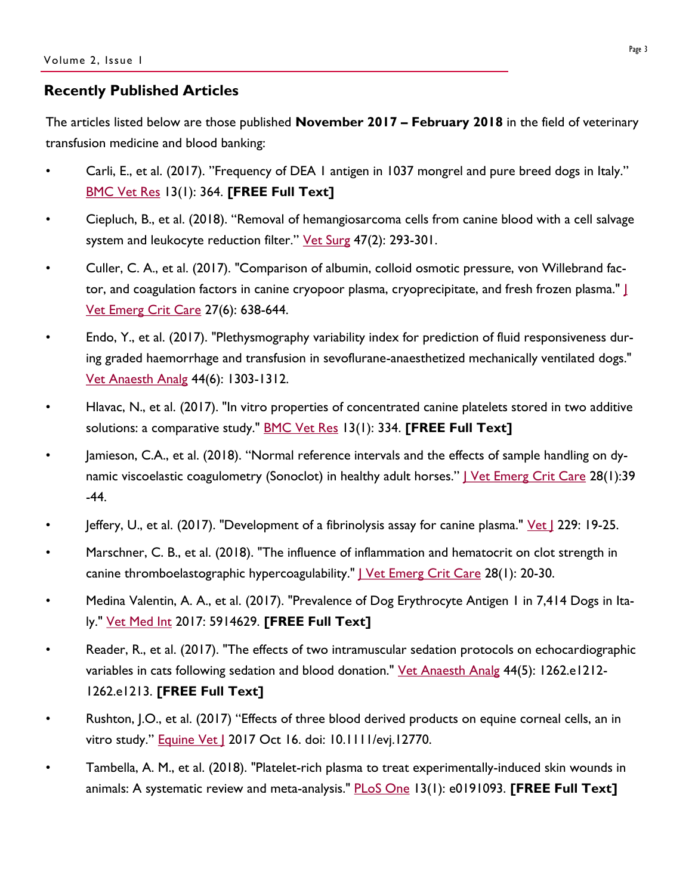#### **Recently Published Articles**

The articles listed below are those published **November 2017 – February 2018** in the field of veterinary transfusion medicine and blood banking:

- Carli, E., et al. (2017). "Frequency of DEA 1 antigen in 1037 mongrel and pure breed dogs in Italy." [BMC Vet Res](https://bmcvetres.biomedcentral.com/articles/10.1186/s12917-017-1286-y) 13(1): 364. **[FREE Full Text]**
- Ciepluch, B., et al. (2018). "Removal of hemangiosarcoma cells from canine blood with a cell salvage system and leukocyte reduction filter." [Vet Surg](http://onlinelibrary.wiley.com/doi/10.1111/vsu.12760/abstract;jsessionid=FCBDA9FFF0EA9057222F89507BC67587.f01t02) 47(2): 293-301.
- Culler, C. A., et al. (2017). "Comparison of albumin, colloid osmotic pressure, von Willebrand factor, and coagulation factors in canine cryopoor plasma, cryoprecipitate, and fresh frozen plasma." [J](http://onlinelibrary.wiley.com/doi/10.1111/vec.12671/abstract)  [Vet Emerg Crit Care](http://onlinelibrary.wiley.com/doi/10.1111/vec.12671/abstract) 27(6): 638-644.
- Endo, Y., et al. (2017). "Plethysmography variability index for prediction of fluid responsiveness during graded haemorrhage and transfusion in sevoflurane-anaesthetized mechanically ventilated dogs." [Vet Anaesth Analg](http://linkinghub.elsevier.com/retrieve/pii/S1467-2987(17)30257-X) 44(6): 1303-1312.
- Hlavac, N., et al. (2017). "In vitro properties of concentrated canine platelets stored in two additive solutions: a comparative study." [BMC Vet Res](https://bmcvetres.biomedcentral.com/articles/10.1186/s12917-017-1236-8) 13(1): 334. **[FREE Full Text]**
- Jamieson, C.A., et al. (2018). "Normal reference intervals and the effects of sample handling on dynamic viscoelastic coagulometry (Sonoclot) in healthy adult horses." <u>I Vet Emerg Crit Care</u> 28(1):39 -44.
- Jeffery, U., et al. (2017). "Development of a fibrinolysis assay for canine plasma." <u>Vet |</u> 229: 19-25.
- Marschner, C. B., et al. (2018). "The influence of inflammation and hematocrit on clot strength in canine thromboelastographic hypercoagulability." | Vet Emerg Crit Care 28(1): 20-30.
- Medina Valentin, A. A., et al. (2017). "Prevalence of Dog Erythrocyte Antigen 1 in 7,414 Dogs in Italy." [Vet Med Int](https://www.hindawi.com/journals/vmi/2017/5914629/) 2017: 5914629. **[FREE Full Text]**
- Reader, R., et al. (2017). "The effects of two intramuscular sedation protocols on echocardiographic variables in cats following sedation and blood donation." [Vet Anaesth Analg](http://www.vaajournal.org/article/S1467-2987(17)30306-9/fulltext) 44(5): 1262.e1212-1262.e1213. **[FREE Full Text]**
- Rushton, J.O., et al. (2017) "Effects of three blood derived products on equine corneal cells, an in vitro study." **Equine Vet | 2017 Oct 16. doi: 10.1111/evj.12770.**
- Tambella, A. M., et al. (2018). "Platelet-rich plasma to treat experimentally-induced skin wounds in animals: A systematic review and meta-analysis." [PLoS One](https://www.ncbi.nlm.nih.gov/pmc/articles/PMC5764374/) 13(1): e0191093. **[FREE Full Text]**